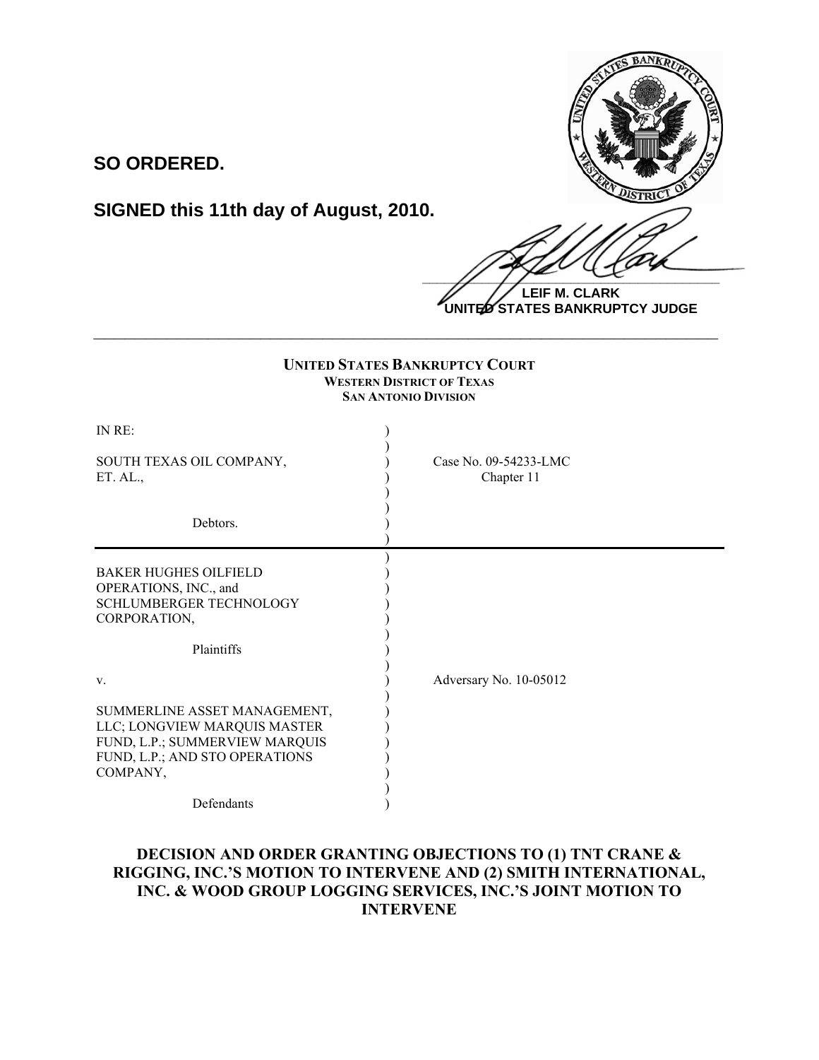

## **SO ORDERED.**

# **SIGNED this 11th day of August, 2010.**

 $\frac{1}{2}$ **LEIF M. CLARK**

**UNITED STATES BANKRUPTCY JUDGE**

| <b>UNITED STATES BANKRUPTCY COURT</b><br><b>WESTERN DISTRICT OF TEXAS</b><br><b>SAN ANTONIO DIVISION</b>                                     |                                     |
|----------------------------------------------------------------------------------------------------------------------------------------------|-------------------------------------|
| IN RE:                                                                                                                                       |                                     |
| SOUTH TEXAS OIL COMPANY,<br>ET. AL.                                                                                                          | Case No. 09-54233-LMC<br>Chapter 11 |
| Debtors.                                                                                                                                     |                                     |
| <b>BAKER HUGHES OILFIELD</b><br>OPERATIONS, INC., and<br><b>SCHLUMBERGER TECHNOLOGY</b><br>CORPORATION,                                      |                                     |
| Plaintiffs                                                                                                                                   |                                     |
| V.                                                                                                                                           | Adversary No. 10-05012              |
| SUMMERLINE ASSET MANAGEMENT,<br>LLC; LONGVIEW MARQUIS MASTER<br>FUND, L.P.; SUMMERVIEW MARQUIS<br>FUND, L.P.; AND STO OPERATIONS<br>COMPANY, |                                     |
| Defendants                                                                                                                                   |                                     |

**\_\_\_\_\_\_\_\_\_\_\_\_\_\_\_\_\_\_\_\_\_\_\_\_\_\_\_\_\_\_\_\_\_\_\_\_\_\_\_\_\_\_\_\_\_\_\_\_\_\_\_\_\_\_\_\_\_\_\_\_**

### **DECISION AND ORDER GRANTING OBJECTIONS TO (1) TNT CRANE & RIGGING, INC.'S MOTION TO INTERVENE AND (2) SMITH INTERNATIONAL, INC. & WOOD GROUP LOGGING SERVICES, INC.'S JOINT MOTION TO INTERVENE**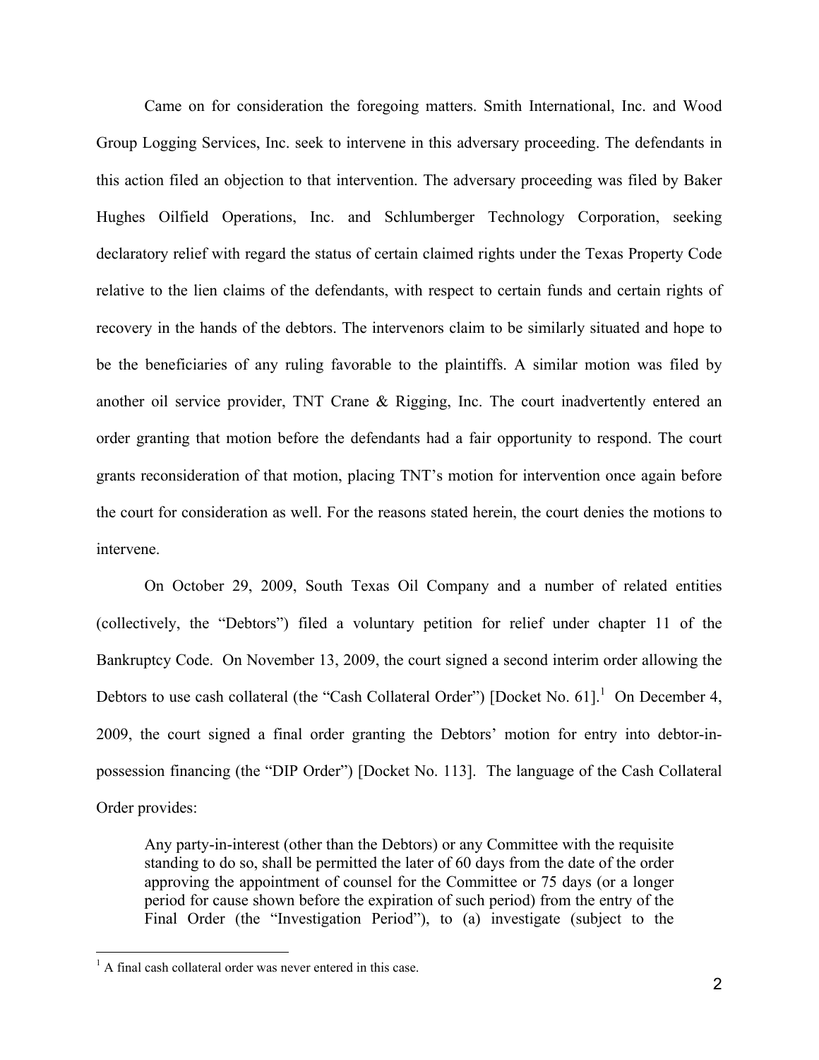Came on for consideration the foregoing matters. Smith International, Inc. and Wood Group Logging Services, Inc. seek to intervene in this adversary proceeding. The defendants in this action filed an objection to that intervention. The adversary proceeding was filed by Baker Hughes Oilfield Operations, Inc. and Schlumberger Technology Corporation, seeking declaratory relief with regard the status of certain claimed rights under the Texas Property Code relative to the lien claims of the defendants, with respect to certain funds and certain rights of recovery in the hands of the debtors. The intervenors claim to be similarly situated and hope to be the beneficiaries of any ruling favorable to the plaintiffs. A similar motion was filed by another oil service provider, TNT Crane & Rigging, Inc. The court inadvertently entered an order granting that motion before the defendants had a fair opportunity to respond. The court grants reconsideration of that motion, placing TNT's motion for intervention once again before the court for consideration as well. For the reasons stated herein, the court denies the motions to intervene.

On October 29, 2009, South Texas Oil Company and a number of related entities (collectively, the "Debtors") filed a voluntary petition for relief under chapter 11 of the Bankruptcy Code. On November 13, 2009, the court signed a second interim order allowing the Debtors to use cash collateral (the "Cash Collateral Order") [Docket No. 61].<sup>1</sup> On December 4, 2009, the court signed a final order granting the Debtors' motion for entry into debtor-inpossession financing (the "DIP Order") [Docket No. 113]. The language of the Cash Collateral Order provides:

Any party-in-interest (other than the Debtors) or any Committee with the requisite standing to do so, shall be permitted the later of 60 days from the date of the order approving the appointment of counsel for the Committee or 75 days (or a longer period for cause shown before the expiration of such period) from the entry of the Final Order (the "Investigation Period"), to (a) investigate (subject to the

 $\frac{1}{1}$  $A<sup>1</sup>$  A final cash collateral order was never entered in this case.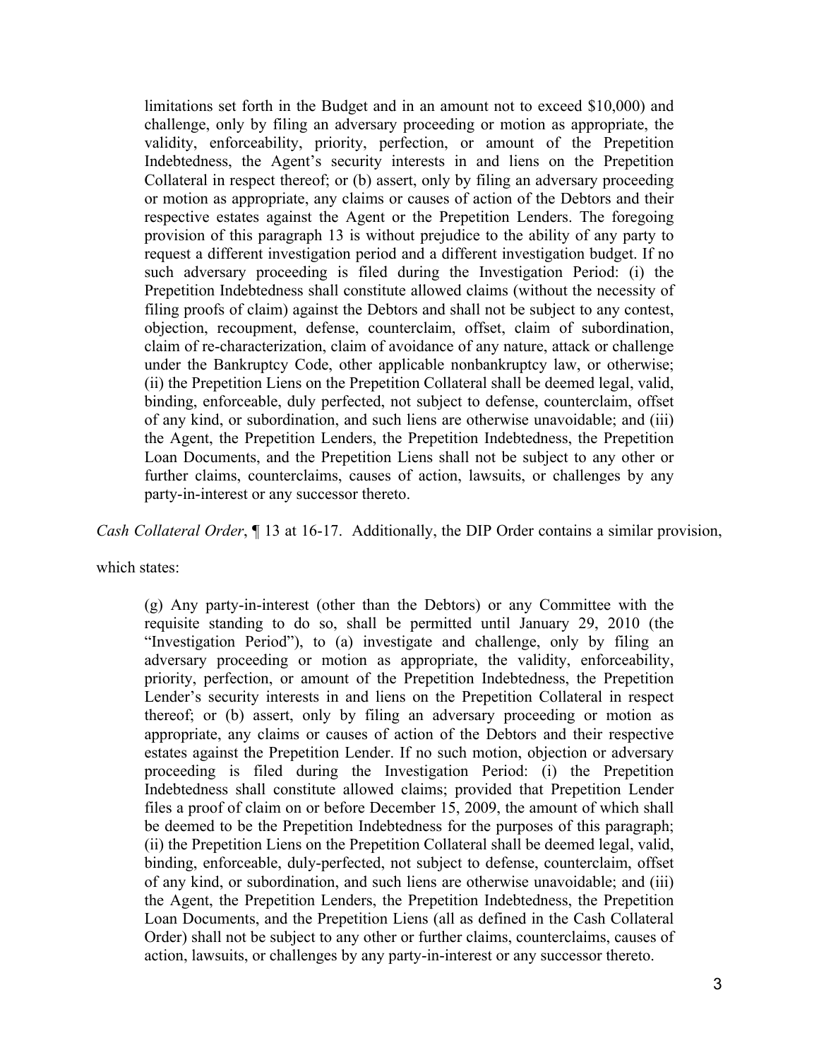limitations set forth in the Budget and in an amount not to exceed \$10,000) and challenge, only by filing an adversary proceeding or motion as appropriate, the validity, enforceability, priority, perfection, or amount of the Prepetition Indebtedness, the Agent's security interests in and liens on the Prepetition Collateral in respect thereof; or (b) assert, only by filing an adversary proceeding or motion as appropriate, any claims or causes of action of the Debtors and their respective estates against the Agent or the Prepetition Lenders. The foregoing provision of this paragraph 13 is without prejudice to the ability of any party to request a different investigation period and a different investigation budget. If no such adversary proceeding is filed during the Investigation Period: (i) the Prepetition Indebtedness shall constitute allowed claims (without the necessity of filing proofs of claim) against the Debtors and shall not be subject to any contest, objection, recoupment, defense, counterclaim, offset, claim of subordination, claim of re-characterization, claim of avoidance of any nature, attack or challenge under the Bankruptcy Code, other applicable nonbankruptcy law, or otherwise; (ii) the Prepetition Liens on the Prepetition Collateral shall be deemed legal, valid, binding, enforceable, duly perfected, not subject to defense, counterclaim, offset of any kind, or subordination, and such liens are otherwise unavoidable; and (iii) the Agent, the Prepetition Lenders, the Prepetition Indebtedness, the Prepetition Loan Documents, and the Prepetition Liens shall not be subject to any other or further claims, counterclaims, causes of action, lawsuits, or challenges by any party-in-interest or any successor thereto.

*Cash Collateral Order*, ¶ 13 at 16-17. Additionally, the DIP Order contains a similar provision,

which states:

(g) Any party-in-interest (other than the Debtors) or any Committee with the requisite standing to do so, shall be permitted until January 29, 2010 (the "Investigation Period"), to (a) investigate and challenge, only by filing an adversary proceeding or motion as appropriate, the validity, enforceability, priority, perfection, or amount of the Prepetition Indebtedness, the Prepetition Lender's security interests in and liens on the Prepetition Collateral in respect thereof; or (b) assert, only by filing an adversary proceeding or motion as appropriate, any claims or causes of action of the Debtors and their respective estates against the Prepetition Lender. If no such motion, objection or adversary proceeding is filed during the Investigation Period: (i) the Prepetition Indebtedness shall constitute allowed claims; provided that Prepetition Lender files a proof of claim on or before December 15, 2009, the amount of which shall be deemed to be the Prepetition Indebtedness for the purposes of this paragraph; (ii) the Prepetition Liens on the Prepetition Collateral shall be deemed legal, valid, binding, enforceable, duly-perfected, not subject to defense, counterclaim, offset of any kind, or subordination, and such liens are otherwise unavoidable; and (iii) the Agent, the Prepetition Lenders, the Prepetition Indebtedness, the Prepetition Loan Documents, and the Prepetition Liens (all as defined in the Cash Collateral Order) shall not be subject to any other or further claims, counterclaims, causes of action, lawsuits, or challenges by any party-in-interest or any successor thereto.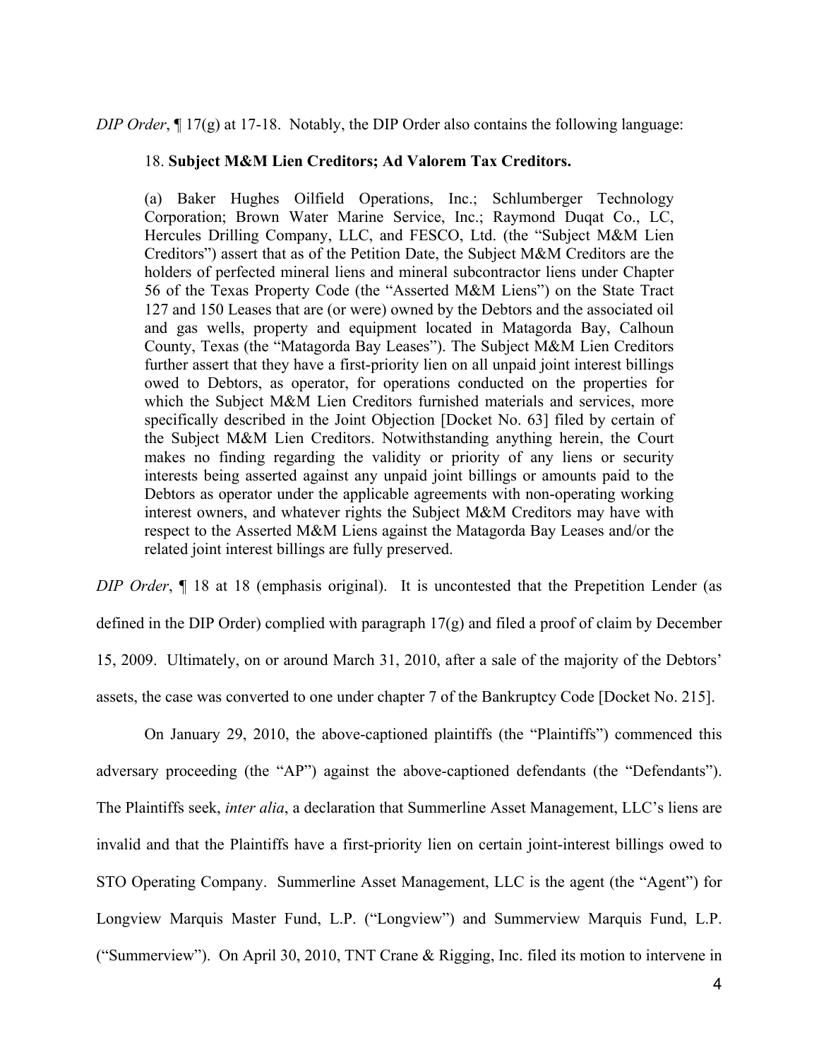#### *DIP Order*, ¶ 17(g) at 17-18. Notably, the DIP Order also contains the following language:

#### 18. **Subject M&M Lien Creditors; Ad Valorem Tax Creditors.**

(a) Baker Hughes Oilfield Operations, Inc.; Schlumberger Technology Corporation; Brown Water Marine Service, Inc.; Raymond Duqat Co., LC, Hercules Drilling Company, LLC, and FESCO, Ltd. (the "Subject M&M Lien Creditors") assert that as of the Petition Date, the Subject M&M Creditors are the holders of perfected mineral liens and mineral subcontractor liens under Chapter 56 of the Texas Property Code (the "Asserted M&M Liens") on the State Tract 127 and 150 Leases that are (or were) owned by the Debtors and the associated oil and gas wells, property and equipment located in Matagorda Bay, Calhoun County, Texas (the "Matagorda Bay Leases"). The Subject M&M Lien Creditors further assert that they have a first-priority lien on all unpaid joint interest billings owed to Debtors, as operator, for operations conducted on the properties for which the Subject M&M Lien Creditors furnished materials and services, more specifically described in the Joint Objection [Docket No. 63] filed by certain of the Subject M&M Lien Creditors. Notwithstanding anything herein, the Court makes no finding regarding the validity or priority of any liens or security interests being asserted against any unpaid joint billings or amounts paid to the Debtors as operator under the applicable agreements with non-operating working interest owners, and whatever rights the Subject M&M Creditors may have with respect to the Asserted M&M Liens against the Matagorda Bay Leases and/or the related joint interest billings are fully preserved.

*DIP Order*,  $\parallel$  18 at 18 (emphasis original). It is uncontested that the Prepetition Lender (as defined in the DIP Order) complied with paragraph 17(g) and filed a proof of claim by December 15, 2009. Ultimately, on or around March 31, 2010, after a sale of the majority of the Debtors' assets, the case was converted to one under chapter 7 of the Bankruptcy Code [Docket No. 215].

On January 29, 2010, the above-captioned plaintiffs (the "Plaintiffs") commenced this adversary proceeding (the "AP") against the above-captioned defendants (the "Defendants"). The Plaintiffs seek, *inter alia*, a declaration that Summerline Asset Management, LLC's liens are invalid and that the Plaintiffs have a first-priority lien on certain joint-interest billings owed to STO Operating Company. Summerline Asset Management, LLC is the agent (the "Agent") for Longview Marquis Master Fund, L.P. ("Longview") and Summerview Marquis Fund, L.P. ("Summerview"). On April 30, 2010, TNT Crane & Rigging, Inc. filed its motion to intervene in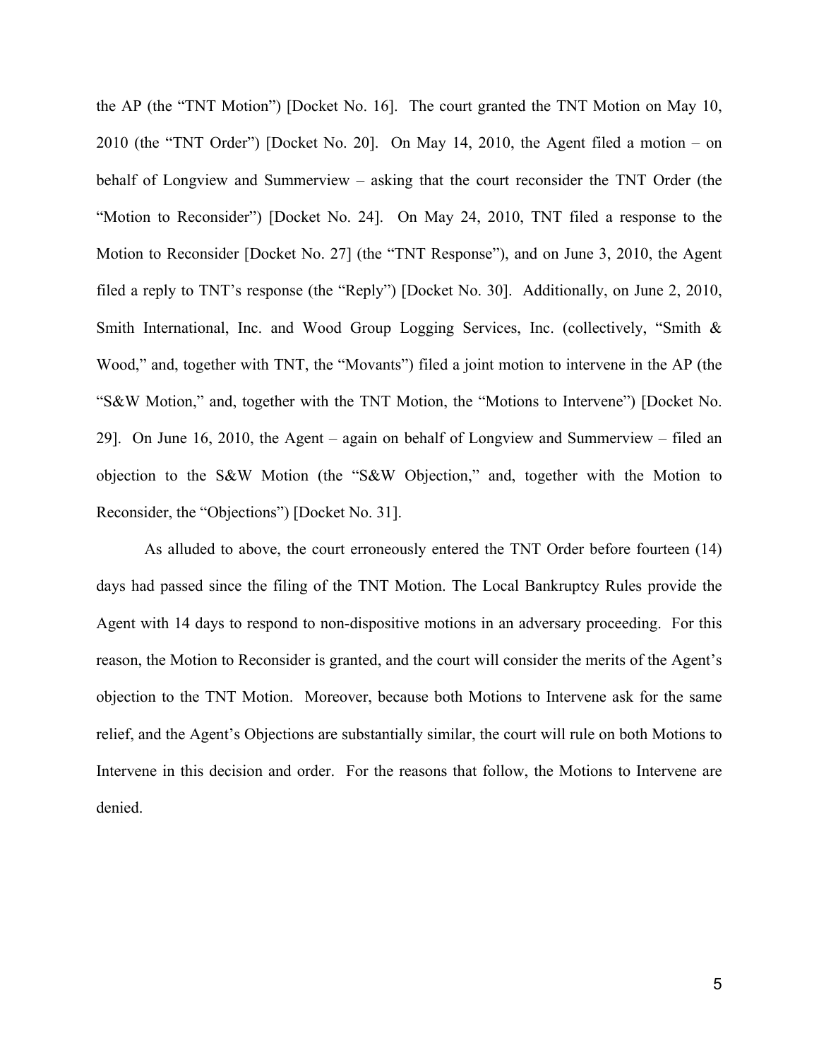the AP (the "TNT Motion") [Docket No. 16]. The court granted the TNT Motion on May 10, 2010 (the "TNT Order") [Docket No. 20]. On May 14, 2010, the Agent filed a motion – on behalf of Longview and Summerview – asking that the court reconsider the TNT Order (the "Motion to Reconsider") [Docket No. 24]. On May 24, 2010, TNT filed a response to the Motion to Reconsider [Docket No. 27] (the "TNT Response"), and on June 3, 2010, the Agent filed a reply to TNT's response (the "Reply") [Docket No. 30]. Additionally, on June 2, 2010, Smith International, Inc. and Wood Group Logging Services, Inc. (collectively, "Smith & Wood," and, together with TNT, the "Movants") filed a joint motion to intervene in the AP (the "S&W Motion," and, together with the TNT Motion, the "Motions to Intervene") [Docket No. 29]. On June 16, 2010, the Agent – again on behalf of Longview and Summerview – filed an objection to the S&W Motion (the "S&W Objection," and, together with the Motion to Reconsider, the "Objections") [Docket No. 31].

As alluded to above, the court erroneously entered the TNT Order before fourteen (14) days had passed since the filing of the TNT Motion. The Local Bankruptcy Rules provide the Agent with 14 days to respond to non-dispositive motions in an adversary proceeding. For this reason, the Motion to Reconsider is granted, and the court will consider the merits of the Agent's objection to the TNT Motion. Moreover, because both Motions to Intervene ask for the same relief, and the Agent's Objections are substantially similar, the court will rule on both Motions to Intervene in this decision and order. For the reasons that follow, the Motions to Intervene are denied.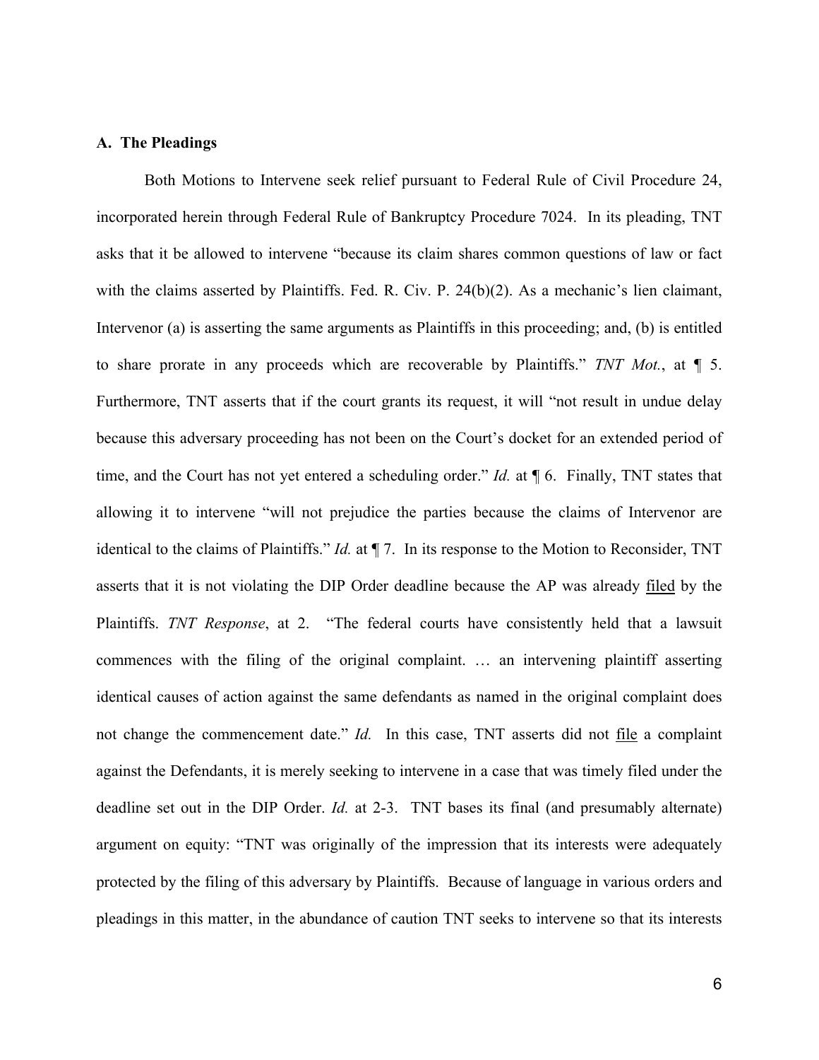#### **A. The Pleadings**

Both Motions to Intervene seek relief pursuant to Federal Rule of Civil Procedure 24, incorporated herein through Federal Rule of Bankruptcy Procedure 7024. In its pleading, TNT asks that it be allowed to intervene "because its claim shares common questions of law or fact with the claims asserted by Plaintiffs. Fed. R. Civ. P. 24(b)(2). As a mechanic's lien claimant, Intervenor (a) is asserting the same arguments as Plaintiffs in this proceeding; and, (b) is entitled to share prorate in any proceeds which are recoverable by Plaintiffs." *TNT Mot.*, at ¶ 5. Furthermore, TNT asserts that if the court grants its request, it will "not result in undue delay because this adversary proceeding has not been on the Court's docket for an extended period of time, and the Court has not yet entered a scheduling order." *Id.* at ¶ 6. Finally, TNT states that allowing it to intervene "will not prejudice the parties because the claims of Intervenor are identical to the claims of Plaintiffs." *Id.* at ¶ 7. In its response to the Motion to Reconsider, TNT asserts that it is not violating the DIP Order deadline because the AP was already filed by the Plaintiffs. *TNT Response*, at 2. "The federal courts have consistently held that a lawsuit commences with the filing of the original complaint. … an intervening plaintiff asserting identical causes of action against the same defendants as named in the original complaint does not change the commencement date." *Id.* In this case, TNT asserts did not file a complaint against the Defendants, it is merely seeking to intervene in a case that was timely filed under the deadline set out in the DIP Order. *Id.* at 2-3. TNT bases its final (and presumably alternate) argument on equity: "TNT was originally of the impression that its interests were adequately protected by the filing of this adversary by Plaintiffs. Because of language in various orders and pleadings in this matter, in the abundance of caution TNT seeks to intervene so that its interests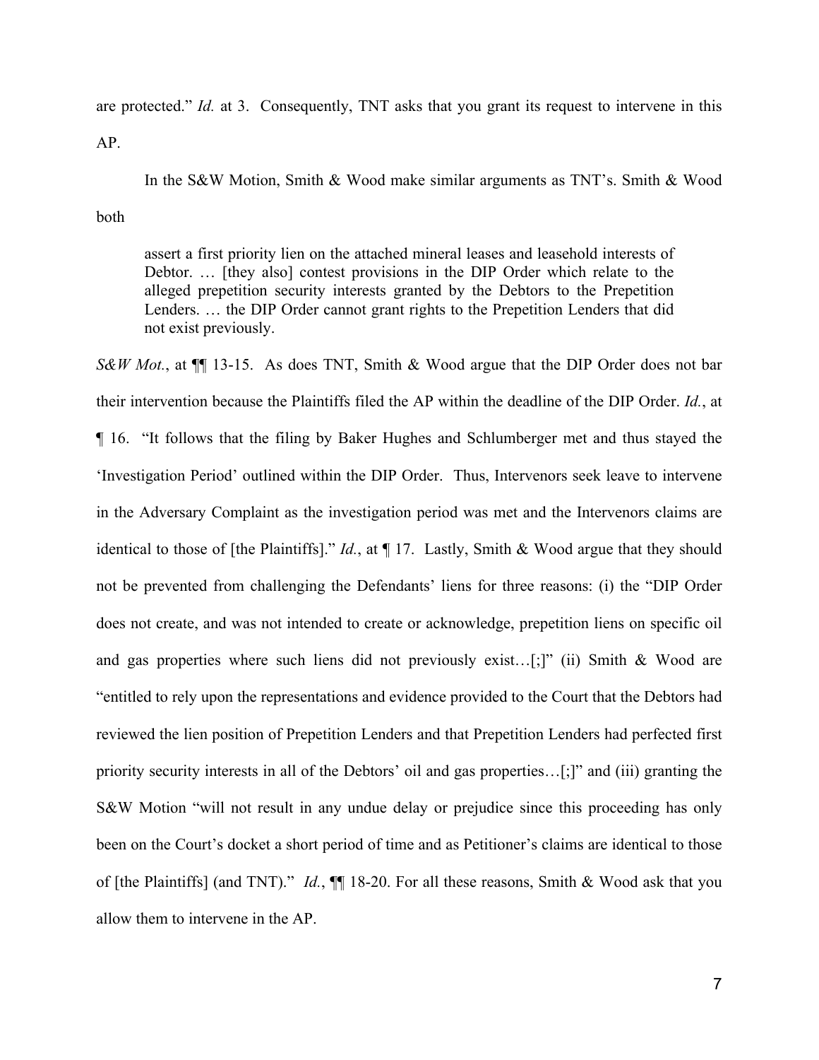are protected." *Id.* at 3. Consequently, TNT asks that you grant its request to intervene in this

AP.

In the S&W Motion, Smith & Wood make similar arguments as TNT's. Smith & Wood

both

assert a first priority lien on the attached mineral leases and leasehold interests of Debtor. … [they also] contest provisions in the DIP Order which relate to the alleged prepetition security interests granted by the Debtors to the Prepetition Lenders. … the DIP Order cannot grant rights to the Prepetition Lenders that did not exist previously.

*S&W Mot.*, at  $\P$  13-15. As does TNT, Smith & Wood argue that the DIP Order does not bar their intervention because the Plaintiffs filed the AP within the deadline of the DIP Order. *Id.*, at ¶ 16. "It follows that the filing by Baker Hughes and Schlumberger met and thus stayed the 'Investigation Period' outlined within the DIP Order. Thus, Intervenors seek leave to intervene in the Adversary Complaint as the investigation period was met and the Intervenors claims are identical to those of [the Plaintiffs]." *Id.*, at ¶ 17. Lastly, Smith & Wood argue that they should not be prevented from challenging the Defendants' liens for three reasons: (i) the "DIP Order does not create, and was not intended to create or acknowledge, prepetition liens on specific oil and gas properties where such liens did not previously exist…[;]" (ii) Smith & Wood are "entitled to rely upon the representations and evidence provided to the Court that the Debtors had reviewed the lien position of Prepetition Lenders and that Prepetition Lenders had perfected first priority security interests in all of the Debtors' oil and gas properties…[;]" and (iii) granting the S&W Motion "will not result in any undue delay or prejudice since this proceeding has only been on the Court's docket a short period of time and as Petitioner's claims are identical to those of [the Plaintiffs] (and TNT)." *Id.*, ¶¶ 18-20. For all these reasons, Smith & Wood ask that you allow them to intervene in the AP.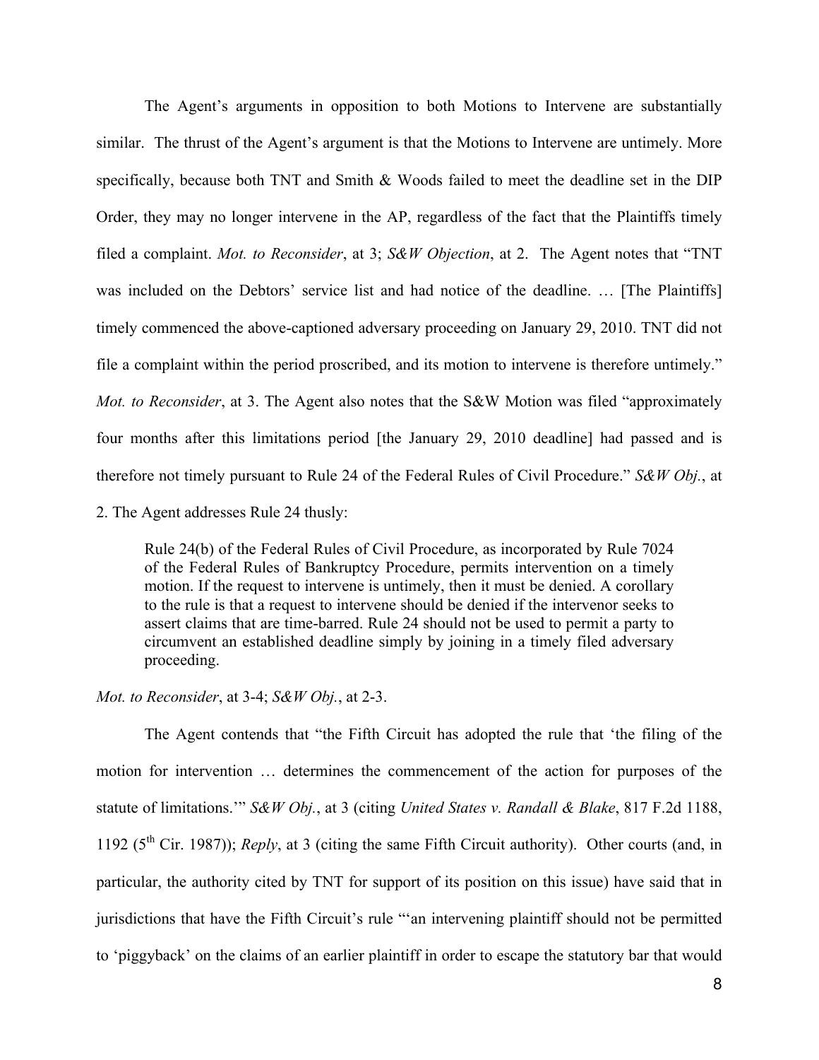The Agent's arguments in opposition to both Motions to Intervene are substantially similar. The thrust of the Agent's argument is that the Motions to Intervene are untimely. More specifically, because both TNT and Smith & Woods failed to meet the deadline set in the DIP Order, they may no longer intervene in the AP, regardless of the fact that the Plaintiffs timely filed a complaint. *Mot. to Reconsider*, at 3; *S&W Objection*, at 2. The Agent notes that "TNT was included on the Debtors' service list and had notice of the deadline. … [The Plaintiffs] timely commenced the above-captioned adversary proceeding on January 29, 2010. TNT did not file a complaint within the period proscribed, and its motion to intervene is therefore untimely." *Mot. to Reconsider*, at 3. The Agent also notes that the S&W Motion was filed "approximately four months after this limitations period [the January 29, 2010 deadline] had passed and is therefore not timely pursuant to Rule 24 of the Federal Rules of Civil Procedure." *S&W Obj.*, at

2. The Agent addresses Rule 24 thusly:

Rule 24(b) of the Federal Rules of Civil Procedure, as incorporated by Rule 7024 of the Federal Rules of Bankruptcy Procedure, permits intervention on a timely motion. If the request to intervene is untimely, then it must be denied. A corollary to the rule is that a request to intervene should be denied if the intervenor seeks to assert claims that are time-barred. Rule 24 should not be used to permit a party to circumvent an established deadline simply by joining in a timely filed adversary proceeding.

#### *Mot. to Reconsider*, at 3-4; *S&W Obj.*, at 2-3.

The Agent contends that "the Fifth Circuit has adopted the rule that 'the filing of the motion for intervention … determines the commencement of the action for purposes of the statute of limitations.'" *S&W Obj.*, at 3 (citing *United States v. Randall & Blake*, 817 F.2d 1188, 1192 (5th Cir. 1987)); *Reply*, at 3 (citing the same Fifth Circuit authority). Other courts (and, in particular, the authority cited by TNT for support of its position on this issue) have said that in jurisdictions that have the Fifth Circuit's rule "'an intervening plaintiff should not be permitted to 'piggyback' on the claims of an earlier plaintiff in order to escape the statutory bar that would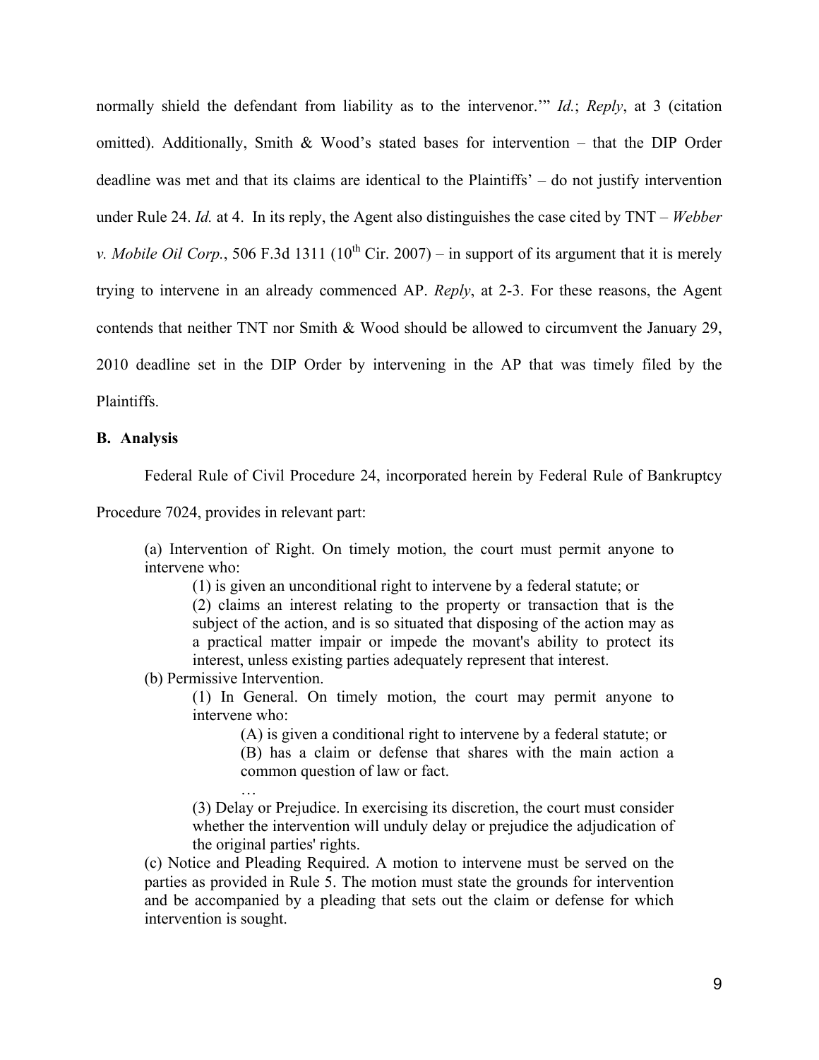normally shield the defendant from liability as to the intervenor.'" *Id.*; *Reply*, at 3 (citation omitted). Additionally, Smith & Wood's stated bases for intervention – that the DIP Order deadline was met and that its claims are identical to the Plaintiffs' – do not justify intervention under Rule 24. *Id.* at 4. In its reply, the Agent also distinguishes the case cited by TNT – *Webber v. Mobile Oil Corp.*, 506 F.3d 1311 ( $10^{th}$  Cir. 2007) – in support of its argument that it is merely trying to intervene in an already commenced AP. *Reply*, at 2-3. For these reasons, the Agent contends that neither TNT nor Smith & Wood should be allowed to circumvent the January 29, 2010 deadline set in the DIP Order by intervening in the AP that was timely filed by the **Plaintiffs** 

#### **B. Analysis**

Federal Rule of Civil Procedure 24, incorporated herein by Federal Rule of Bankruptcy

Procedure 7024, provides in relevant part:

(a) Intervention of Right. On timely motion, the court must permit anyone to intervene who:

(1) is given an unconditional right to intervene by a federal statute; or

(2) claims an interest relating to the property or transaction that is the subject of the action, and is so situated that disposing of the action may as a practical matter impair or impede the movant's ability to protect its interest, unless existing parties adequately represent that interest.

(b) Permissive Intervention.

…

(1) In General. On timely motion, the court may permit anyone to intervene who:

(A) is given a conditional right to intervene by a federal statute; or

(B) has a claim or defense that shares with the main action a common question of law or fact.

(3) Delay or Prejudice. In exercising its discretion, the court must consider whether the intervention will unduly delay or prejudice the adjudication of the original parties' rights.

(c) Notice and Pleading Required. A motion to intervene must be served on the parties as provided in Rule 5. The motion must state the grounds for intervention and be accompanied by a pleading that sets out the claim or defense for which intervention is sought.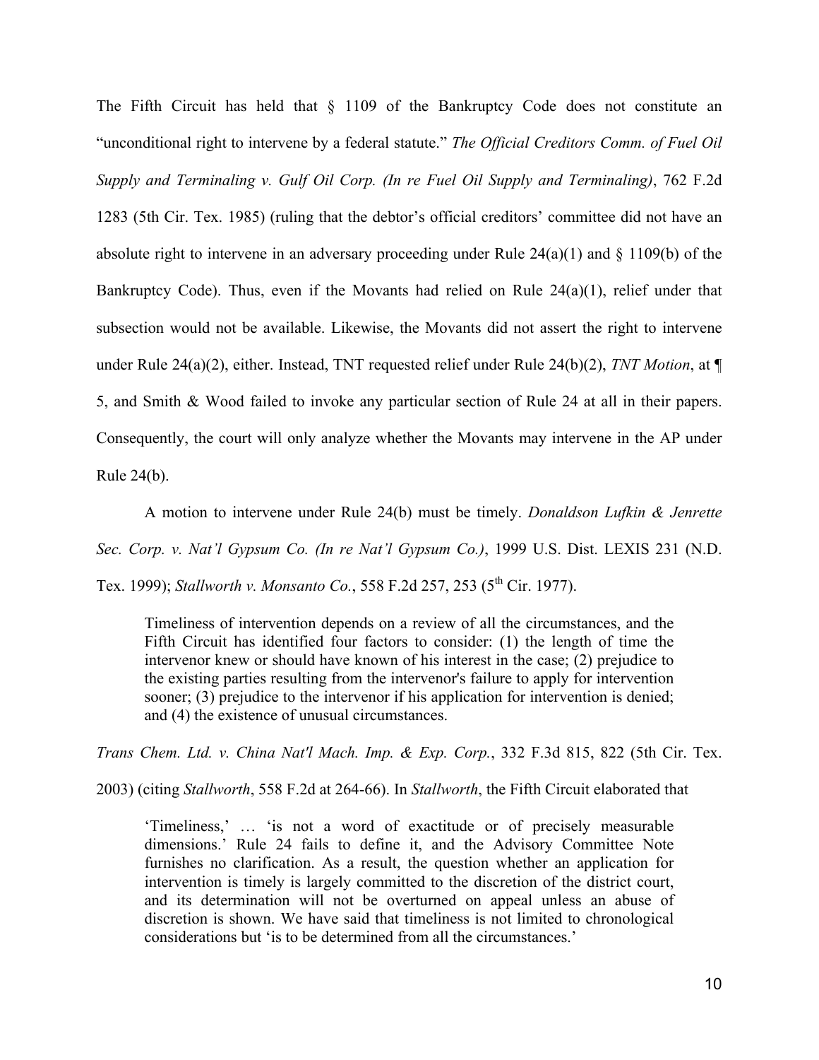The Fifth Circuit has held that § 1109 of the Bankruptcy Code does not constitute an "unconditional right to intervene by a federal statute." *The Official Creditors Comm. of Fuel Oil Supply and Terminaling v. Gulf Oil Corp. (In re Fuel Oil Supply and Terminaling)*, 762 F.2d 1283 (5th Cir. Tex. 1985) (ruling that the debtor's official creditors' committee did not have an absolute right to intervene in an adversary proceeding under Rule  $24(a)(1)$  and  $\S 1109(b)$  of the Bankruptcy Code). Thus, even if the Movants had relied on Rule 24(a)(1), relief under that subsection would not be available. Likewise, the Movants did not assert the right to intervene under Rule 24(a)(2), either. Instead, TNT requested relief under Rule 24(b)(2), *TNT Motion*, at ¶ 5, and Smith & Wood failed to invoke any particular section of Rule 24 at all in their papers. Consequently, the court will only analyze whether the Movants may intervene in the AP under Rule 24(b).

 A motion to intervene under Rule 24(b) must be timely. *Donaldson Lufkin & Jenrette Sec. Corp. v. Nat'l Gypsum Co. (In re Nat'l Gypsum Co.)*, 1999 U.S. Dist. LEXIS 231 (N.D. Tex. 1999); *Stallworth v. Monsanto Co.*, 558 F.2d 257, 253 (5<sup>th</sup> Cir. 1977).

Timeliness of intervention depends on a review of all the circumstances, and the Fifth Circuit has identified four factors to consider: (1) the length of time the intervenor knew or should have known of his interest in the case; (2) prejudice to the existing parties resulting from the intervenor's failure to apply for intervention sooner; (3) prejudice to the intervenor if his application for intervention is denied; and (4) the existence of unusual circumstances.

*Trans Chem. Ltd. v. China Nat'l Mach. Imp. & Exp. Corp.*, 332 F.3d 815, 822 (5th Cir. Tex.

2003) (citing *Stallworth*, 558 F.2d at 264-66). In *Stallworth*, the Fifth Circuit elaborated that

'Timeliness,' … 'is not a word of exactitude or of precisely measurable dimensions.' Rule 24 fails to define it, and the Advisory Committee Note furnishes no clarification. As a result, the question whether an application for intervention is timely is largely committed to the discretion of the district court, and its determination will not be overturned on appeal unless an abuse of discretion is shown. We have said that timeliness is not limited to chronological considerations but 'is to be determined from all the circumstances.'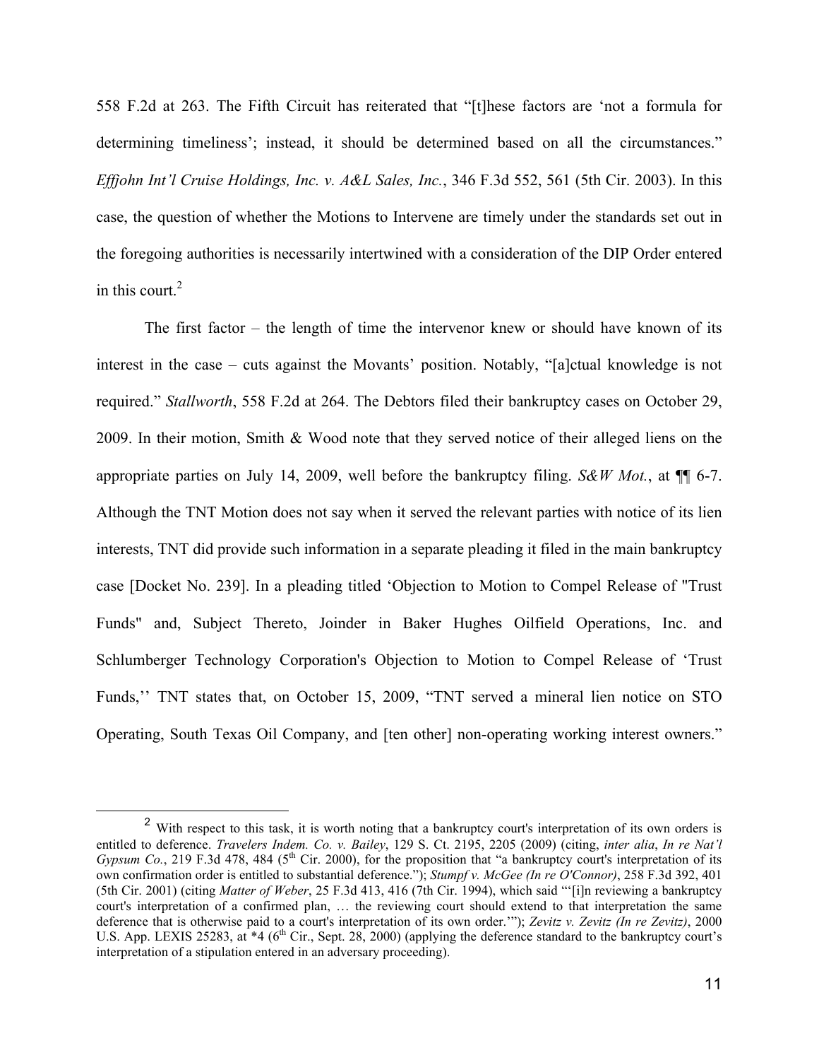558 F.2d at 263. The Fifth Circuit has reiterated that "[t]hese factors are 'not a formula for determining timeliness'; instead, it should be determined based on all the circumstances." *Effjohn Int'l Cruise Holdings, Inc. v. A&L Sales, Inc.*, 346 F.3d 552, 561 (5th Cir. 2003). In this case, the question of whether the Motions to Intervene are timely under the standards set out in the foregoing authorities is necessarily intertwined with a consideration of the DIP Order entered in this court. $2$ 

The first factor – the length of time the intervenor knew or should have known of its interest in the case – cuts against the Movants' position. Notably, "[a]ctual knowledge is not required." *Stallworth*, 558 F.2d at 264. The Debtors filed their bankruptcy cases on October 29, 2009. In their motion, Smith & Wood note that they served notice of their alleged liens on the appropriate parties on July 14, 2009, well before the bankruptcy filing. *S&W Mot.*, at ¶¶ 6-7. Although the TNT Motion does not say when it served the relevant parties with notice of its lien interests, TNT did provide such information in a separate pleading it filed in the main bankruptcy case [Docket No. 239]. In a pleading titled 'Objection to Motion to Compel Release of "Trust Funds" and, Subject Thereto, Joinder in Baker Hughes Oilfield Operations, Inc. and Schlumberger Technology Corporation's Objection to Motion to Compel Release of 'Trust Funds,'' TNT states that, on October 15, 2009, "TNT served a mineral lien notice on STO Operating, South Texas Oil Company, and [ten other] non-operating working interest owners."

<sup>&</sup>lt;sup>2</sup> With respect to this task, it is worth noting that a bankruptcy court's interpretation of its own orders is entitled to deference. *Travelers Indem. Co. v. Bailey*, 129 S. Ct. 2195, 2205 (2009) (citing, *inter alia*, *In re Nat'l Gypsum Co.*, 219 F.3d 478, 484 ( $5<sup>th</sup>$  Cir. 2000), for the proposition that "a bankruptcy court's interpretation of its own confirmation order is entitled to substantial deference."); *Stumpf v. McGee (In re O'Connor)*, 258 F.3d 392, 401 (5th Cir. 2001) (citing *Matter of Weber*, 25 F.3d 413, 416 (7th Cir. 1994), which said "'[i]n reviewing a bankruptcy court's interpretation of a confirmed plan, … the reviewing court should extend to that interpretation the same deference that is otherwise paid to a court's interpretation of its own order.'"); *Zevitz v. Zevitz (In re Zevitz)*, 2000 U.S. App. LEXIS 25283, at  $*4$  (6<sup>th</sup> Cir., Sept. 28, 2000) (applying the deference standard to the bankruptcy court's interpretation of a stipulation entered in an adversary proceeding).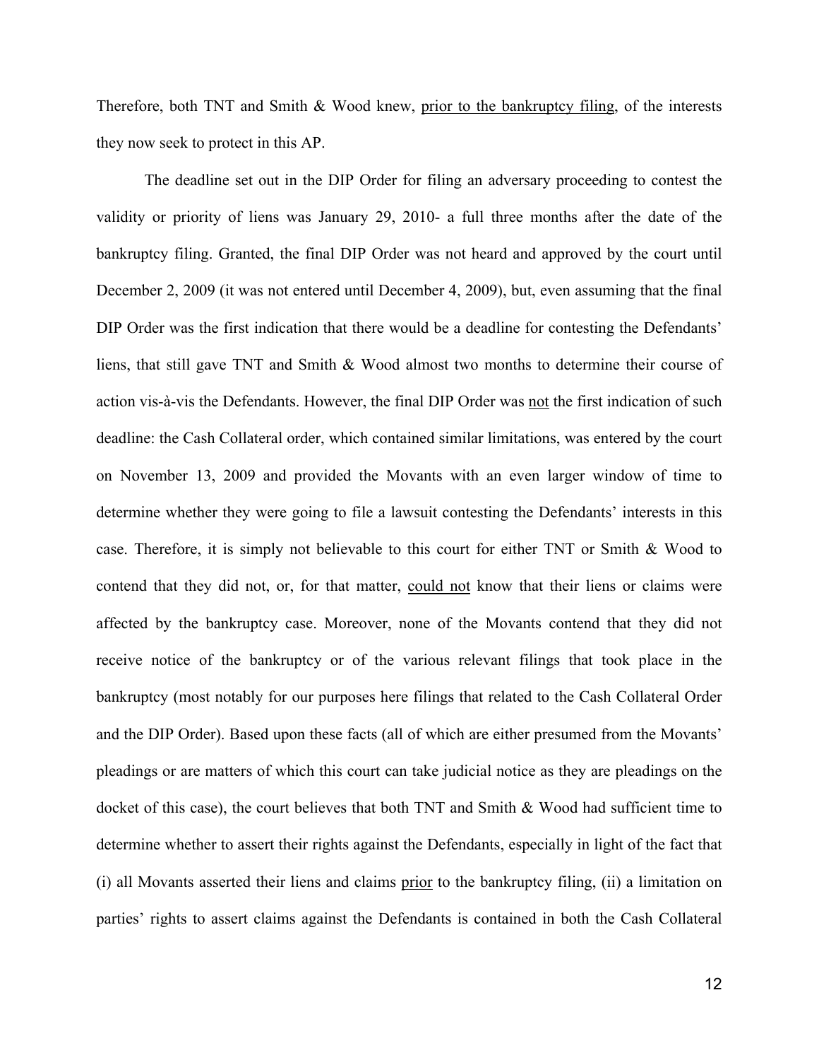Therefore, both TNT and Smith & Wood knew, prior to the bankruptcy filing, of the interests they now seek to protect in this AP.

The deadline set out in the DIP Order for filing an adversary proceeding to contest the validity or priority of liens was January 29, 2010- a full three months after the date of the bankruptcy filing. Granted, the final DIP Order was not heard and approved by the court until December 2, 2009 (it was not entered until December 4, 2009), but, even assuming that the final DIP Order was the first indication that there would be a deadline for contesting the Defendants' liens, that still gave TNT and Smith & Wood almost two months to determine their course of action vis-à-vis the Defendants. However, the final DIP Order was not the first indication of such deadline: the Cash Collateral order, which contained similar limitations, was entered by the court on November 13, 2009 and provided the Movants with an even larger window of time to determine whether they were going to file a lawsuit contesting the Defendants' interests in this case. Therefore, it is simply not believable to this court for either TNT or Smith & Wood to contend that they did not, or, for that matter, could not know that their liens or claims were affected by the bankruptcy case. Moreover, none of the Movants contend that they did not receive notice of the bankruptcy or of the various relevant filings that took place in the bankruptcy (most notably for our purposes here filings that related to the Cash Collateral Order and the DIP Order). Based upon these facts (all of which are either presumed from the Movants' pleadings or are matters of which this court can take judicial notice as they are pleadings on the docket of this case), the court believes that both TNT and Smith & Wood had sufficient time to determine whether to assert their rights against the Defendants, especially in light of the fact that (i) all Movants asserted their liens and claims prior to the bankruptcy filing, (ii) a limitation on parties' rights to assert claims against the Defendants is contained in both the Cash Collateral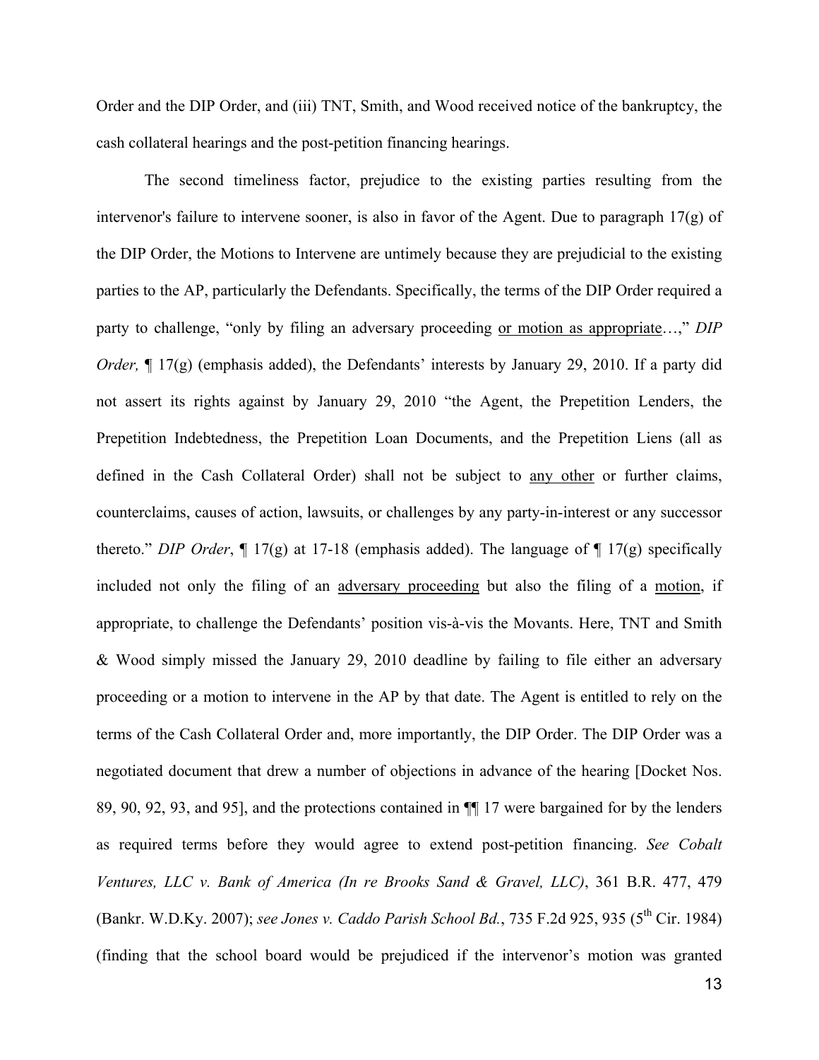Order and the DIP Order, and (iii) TNT, Smith, and Wood received notice of the bankruptcy, the cash collateral hearings and the post-petition financing hearings.

The second timeliness factor, prejudice to the existing parties resulting from the intervenor's failure to intervene sooner, is also in favor of the Agent. Due to paragraph 17(g) of the DIP Order, the Motions to Intervene are untimely because they are prejudicial to the existing parties to the AP, particularly the Defendants. Specifically, the terms of the DIP Order required a party to challenge, "only by filing an adversary proceeding or motion as appropriate…," *DIP Order*,  $\P$  17(g) (emphasis added), the Defendants' interests by January 29, 2010. If a party did not assert its rights against by January 29, 2010 "the Agent, the Prepetition Lenders, the Prepetition Indebtedness, the Prepetition Loan Documents, and the Prepetition Liens (all as defined in the Cash Collateral Order) shall not be subject to any other or further claims, counterclaims, causes of action, lawsuits, or challenges by any party-in-interest or any successor thereto." *DIP Order*, ¶ 17(g) at 17-18 (emphasis added). The language of ¶ 17(g) specifically included not only the filing of an adversary proceeding but also the filing of a motion, if appropriate, to challenge the Defendants' position vis-à-vis the Movants. Here, TNT and Smith & Wood simply missed the January 29, 2010 deadline by failing to file either an adversary proceeding or a motion to intervene in the AP by that date. The Agent is entitled to rely on the terms of the Cash Collateral Order and, more importantly, the DIP Order. The DIP Order was a negotiated document that drew a number of objections in advance of the hearing [Docket Nos. 89, 90, 92, 93, and 95], and the protections contained in ¶¶ 17 were bargained for by the lenders as required terms before they would agree to extend post-petition financing. *See Cobalt Ventures, LLC v. Bank of America (In re Brooks Sand & Gravel, LLC)*, 361 B.R. 477, 479 (Bankr. W.D.Ky. 2007); *see Jones v. Caddo Parish School Bd.*, 735 F.2d 925, 935 (5<sup>th</sup> Cir. 1984) (finding that the school board would be prejudiced if the intervenor's motion was granted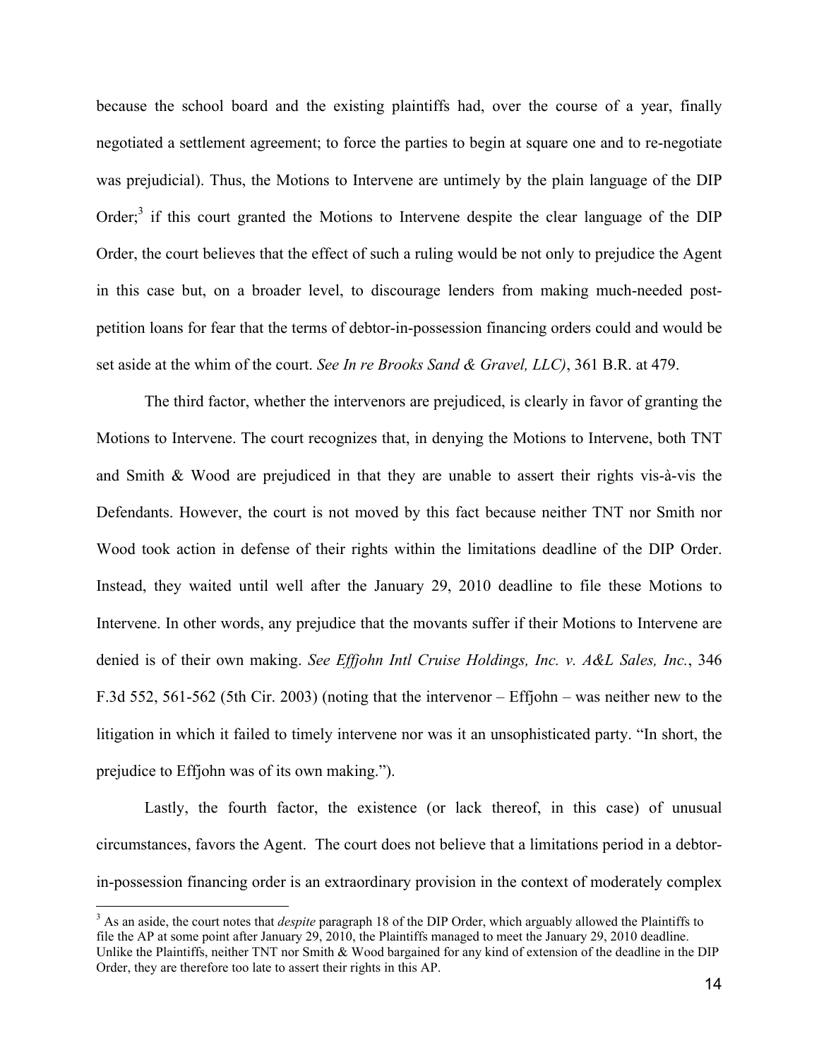because the school board and the existing plaintiffs had, over the course of a year, finally negotiated a settlement agreement; to force the parties to begin at square one and to re-negotiate was prejudicial). Thus, the Motions to Intervene are untimely by the plain language of the DIP Order;<sup>3</sup> if this court granted the Motions to Intervene despite the clear language of the DIP Order, the court believes that the effect of such a ruling would be not only to prejudice the Agent in this case but, on a broader level, to discourage lenders from making much-needed postpetition loans for fear that the terms of debtor-in-possession financing orders could and would be set aside at the whim of the court. *See In re Brooks Sand & Gravel, LLC)*, 361 B.R. at 479.

The third factor, whether the intervenors are prejudiced, is clearly in favor of granting the Motions to Intervene. The court recognizes that, in denying the Motions to Intervene, both TNT and Smith & Wood are prejudiced in that they are unable to assert their rights vis-à-vis the Defendants. However, the court is not moved by this fact because neither TNT nor Smith nor Wood took action in defense of their rights within the limitations deadline of the DIP Order. Instead, they waited until well after the January 29, 2010 deadline to file these Motions to Intervene. In other words, any prejudice that the movants suffer if their Motions to Intervene are denied is of their own making. *See Effjohn Intl Cruise Holdings, Inc. v. A&L Sales, Inc.*, 346 F.3d 552, 561-562 (5th Cir. 2003) (noting that the intervenor – Effjohn – was neither new to the litigation in which it failed to timely intervene nor was it an unsophisticated party. "In short, the prejudice to Effjohn was of its own making.").

Lastly, the fourth factor, the existence (or lack thereof, in this case) of unusual circumstances, favors the Agent. The court does not believe that a limitations period in a debtorin-possession financing order is an extraordinary provision in the context of moderately complex

3 <sup>3</sup> As an aside, the court notes that *despite* paragraph 18 of the DIP Order, which arguably allowed the Plaintiffs to file the AP at some point after January 29, 2010, the Plaintiffs managed to meet the January 29, 2010 deadline. Unlike the Plaintiffs, neither TNT nor Smith & Wood bargained for any kind of extension of the deadline in the DIP Order, they are therefore too late to assert their rights in this AP.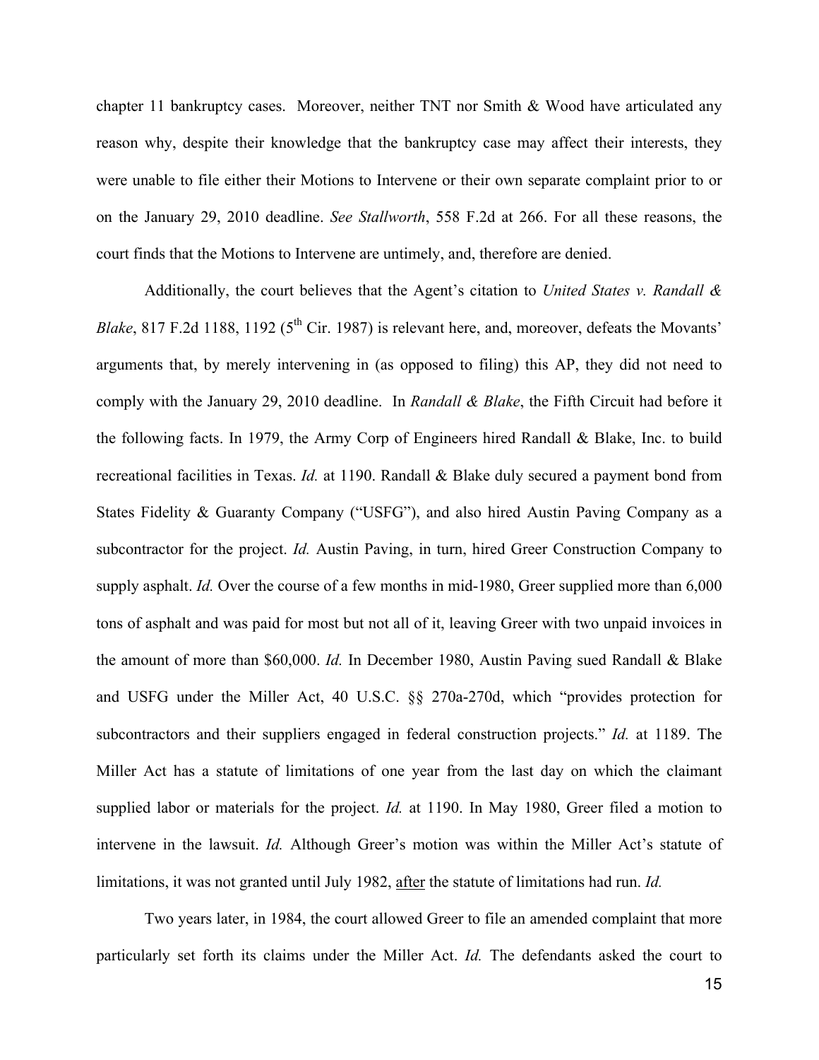chapter 11 bankruptcy cases. Moreover, neither TNT nor Smith & Wood have articulated any reason why, despite their knowledge that the bankruptcy case may affect their interests, they were unable to file either their Motions to Intervene or their own separate complaint prior to or on the January 29, 2010 deadline. *See Stallworth*, 558 F.2d at 266. For all these reasons, the court finds that the Motions to Intervene are untimely, and, therefore are denied.

Additionally, the court believes that the Agent's citation to *United States v. Randall & Blake*, 817 F.2d 1188, 1192 ( $5<sup>th</sup>$  Cir. 1987) is relevant here, and, moreover, defeats the Movants' arguments that, by merely intervening in (as opposed to filing) this AP, they did not need to comply with the January 29, 2010 deadline. In *Randall & Blake*, the Fifth Circuit had before it the following facts. In 1979, the Army Corp of Engineers hired Randall & Blake, Inc. to build recreational facilities in Texas. *Id.* at 1190. Randall & Blake duly secured a payment bond from States Fidelity & Guaranty Company ("USFG"), and also hired Austin Paving Company as a subcontractor for the project. *Id.* Austin Paving, in turn, hired Greer Construction Company to supply asphalt. *Id.* Over the course of a few months in mid-1980, Greer supplied more than 6,000 tons of asphalt and was paid for most but not all of it, leaving Greer with two unpaid invoices in the amount of more than \$60,000. *Id.* In December 1980, Austin Paving sued Randall & Blake and USFG under the Miller Act, 40 U.S.C. §§ 270a-270d, which "provides protection for subcontractors and their suppliers engaged in federal construction projects." *Id.* at 1189. The Miller Act has a statute of limitations of one year from the last day on which the claimant supplied labor or materials for the project. *Id.* at 1190. In May 1980, Greer filed a motion to intervene in the lawsuit. *Id.* Although Greer's motion was within the Miller Act's statute of limitations, it was not granted until July 1982, after the statute of limitations had run. *Id.*

Two years later, in 1984, the court allowed Greer to file an amended complaint that more particularly set forth its claims under the Miller Act. *Id.* The defendants asked the court to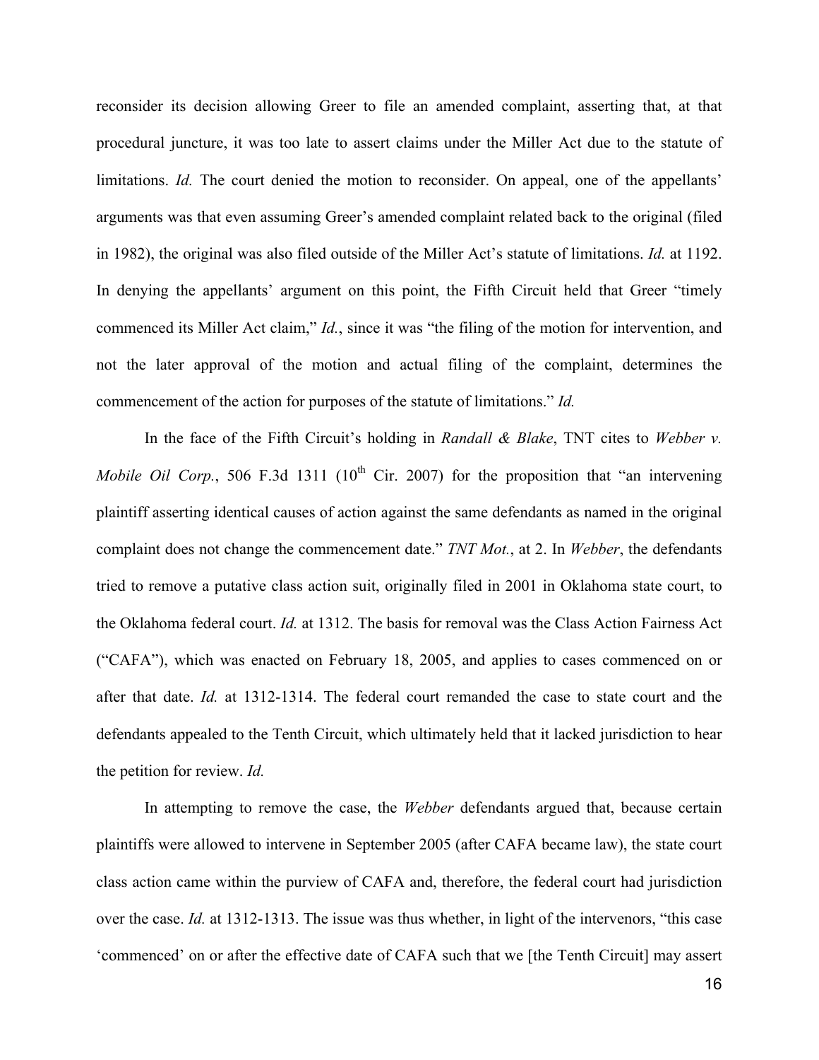reconsider its decision allowing Greer to file an amended complaint, asserting that, at that procedural juncture, it was too late to assert claims under the Miller Act due to the statute of limitations. *Id.* The court denied the motion to reconsider. On appeal, one of the appellants' arguments was that even assuming Greer's amended complaint related back to the original (filed in 1982), the original was also filed outside of the Miller Act's statute of limitations. *Id.* at 1192. In denying the appellants' argument on this point, the Fifth Circuit held that Greer "timely commenced its Miller Act claim," *Id.*, since it was "the filing of the motion for intervention, and not the later approval of the motion and actual filing of the complaint, determines the commencement of the action for purposes of the statute of limitations." *Id.*

In the face of the Fifth Circuit's holding in *Randall & Blake*, TNT cites to *Webber v. Mobile Oil Corp.*, 506 F.3d 1311 ( $10^{th}$  Cir. 2007) for the proposition that "an intervening plaintiff asserting identical causes of action against the same defendants as named in the original complaint does not change the commencement date." *TNT Mot.*, at 2. In *Webber*, the defendants tried to remove a putative class action suit, originally filed in 2001 in Oklahoma state court, to the Oklahoma federal court. *Id.* at 1312. The basis for removal was the Class Action Fairness Act ("CAFA"), which was enacted on February 18, 2005, and applies to cases commenced on or after that date. *Id.* at 1312-1314. The federal court remanded the case to state court and the defendants appealed to the Tenth Circuit, which ultimately held that it lacked jurisdiction to hear the petition for review. *Id.*

In attempting to remove the case, the *Webber* defendants argued that, because certain plaintiffs were allowed to intervene in September 2005 (after CAFA became law), the state court class action came within the purview of CAFA and, therefore, the federal court had jurisdiction over the case. *Id.* at 1312-1313. The issue was thus whether, in light of the intervenors, "this case 'commenced' on or after the effective date of CAFA such that we [the Tenth Circuit] may assert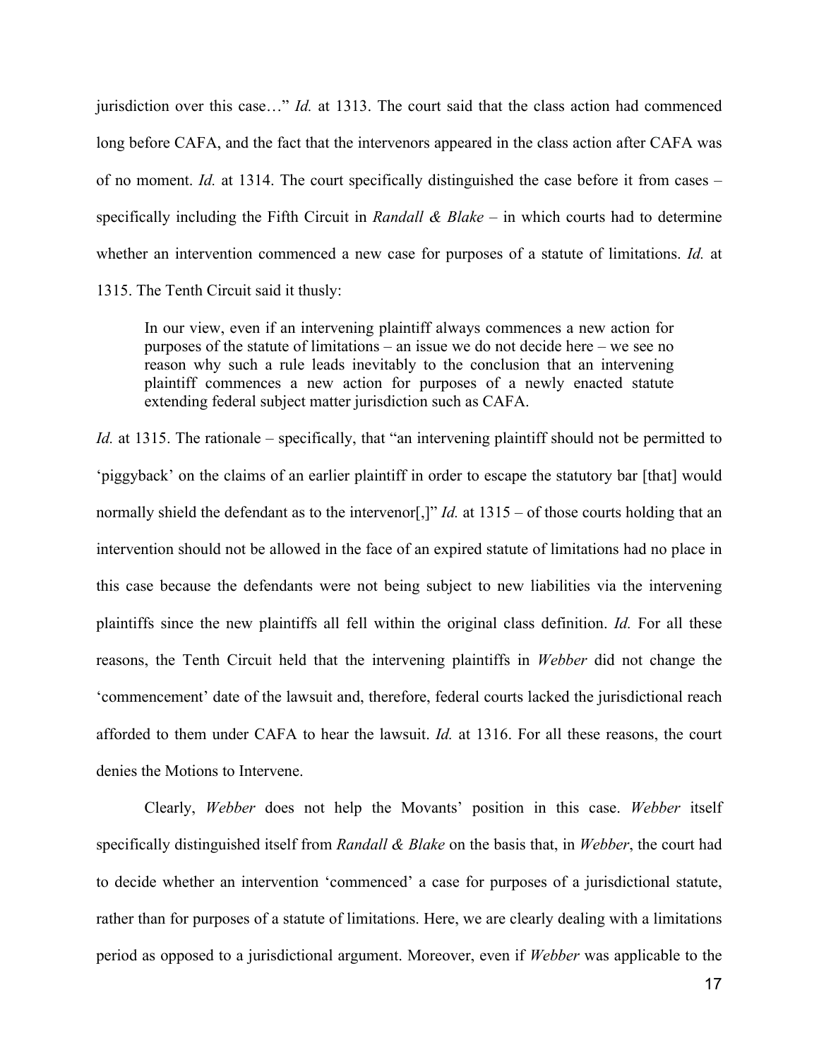jurisdiction over this case…" *Id.* at 1313. The court said that the class action had commenced long before CAFA, and the fact that the intervenors appeared in the class action after CAFA was of no moment. *Id.* at 1314. The court specifically distinguished the case before it from cases – specifically including the Fifth Circuit in *Randall & Blake* – in which courts had to determine whether an intervention commenced a new case for purposes of a statute of limitations. *Id.* at

1315. The Tenth Circuit said it thusly:

In our view, even if an intervening plaintiff always commences a new action for purposes of the statute of limitations – an issue we do not decide here – we see no reason why such a rule leads inevitably to the conclusion that an intervening plaintiff commences a new action for purposes of a newly enacted statute extending federal subject matter jurisdiction such as CAFA.

*Id.* at 1315. The rationale – specifically, that "an intervening plaintiff should not be permitted to 'piggyback' on the claims of an earlier plaintiff in order to escape the statutory bar [that] would normally shield the defendant as to the intervenor<sup>[1]"</sup> *Id.* at 1315 – of those courts holding that an intervention should not be allowed in the face of an expired statute of limitations had no place in this case because the defendants were not being subject to new liabilities via the intervening plaintiffs since the new plaintiffs all fell within the original class definition. *Id.* For all these reasons, the Tenth Circuit held that the intervening plaintiffs in *Webber* did not change the 'commencement' date of the lawsuit and, therefore, federal courts lacked the jurisdictional reach afforded to them under CAFA to hear the lawsuit. *Id.* at 1316. For all these reasons, the court denies the Motions to Intervene.

Clearly, *Webber* does not help the Movants' position in this case. *Webber* itself specifically distinguished itself from *Randall & Blake* on the basis that, in *Webber*, the court had to decide whether an intervention 'commenced' a case for purposes of a jurisdictional statute, rather than for purposes of a statute of limitations. Here, we are clearly dealing with a limitations period as opposed to a jurisdictional argument. Moreover, even if *Webber* was applicable to the